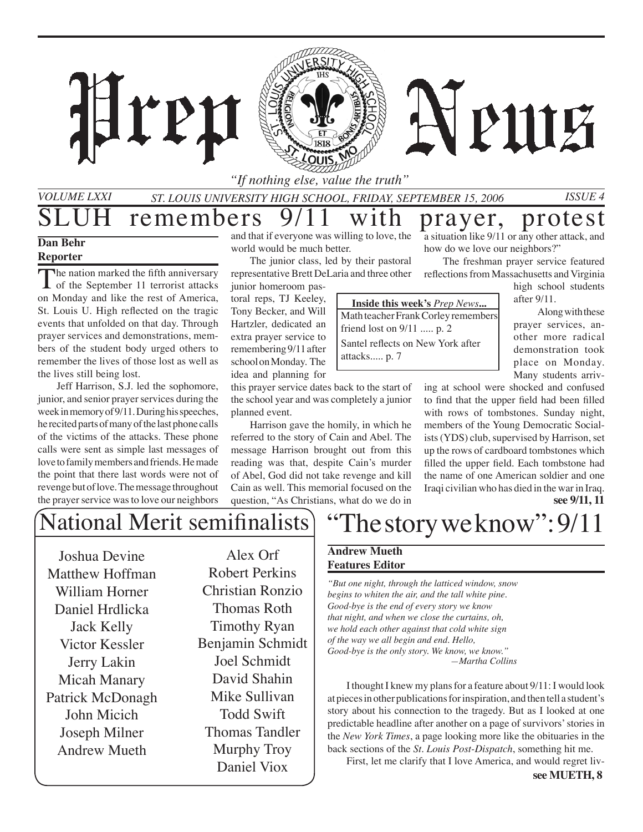### *"If nothing else, value the truth"*

*St. Louis University High School, Friday, September 15, 2006 Issue 4*

# remembers 9/11 with prayer, protest

ren

#### **Dan Behr Reporter**

*Volume LXXI*

The nation marked the fifth anniversary **I** of the September 11 terrorist attacks on Monday and like the rest of America, St. Louis U. High reflected on the tragic events that unfolded on that day. Through prayer services and demonstrations, members of the student body urged others to remember the lives of those lost as well as the lives still being lost.

Jeff Harrison, S.J. led the sophomore, junior, and senior prayer services during the week in memory of 9/11. During his speeches, he recited parts of many of the last phone calls of the victims of the attacks. These phone calls were sent as simple last messages of love to family members and friends. He made the point that there last words were not of revenge but of love. The message throughout the prayer service was to love our neighbors

and that if everyone was willing to love, the world would be much better.

The junior class, led by their pastoral representative Brett DeLaria and three other

junior homeroom pastoral reps, TJ Keeley, Tony Becker, and Will Hartzler, dedicated an extra prayer service to remembering 9/11 after school on Monday. The idea and planning for

this prayer service dates back to the start of the school year and was completely a junior planned event.

Harrison gave the homily, in which he referred to the story of Cain and Abel. The message Harrison brought out from this reading was that, despite Cain's murder of Abel, God did not take revenge and kill Cain as well. This memorial focused on the question, "As Christians, what do we do in

a situation like 9/11 or any other attack, and how do we love our neighbors?"

The freshman prayer service featured reflections from Massachusetts and Virginia

PUIE

high school students after 9/11.

Along with these prayer services, another more radical demonstration took place on Monday. Many students arriv-

ing at school were shocked and confused to find that the upper field had been filled with rows of tombstones. Sunday night, members of the Young Democratic Socialists (YDS) club, supervised by Harrison, set up the rows of cardboard tombstones which filled the upper field. Each tombstone had the name of one American soldier and one Iraqi civilian who has died in the war in Iraq. **see 9/11, 11**

## National Merit semifinalists

Joshua Devine Matthew Hoffman William Horner Daniel Hrdlicka Jack Kelly Victor Kessler Jerry Lakin Micah Manary Patrick McDonagh John Micich Joseph Milner Andrew Mueth

Alex Orf Robert Perkins Christian Ronzio Thomas Roth Timothy Ryan Benjamin Schmidt Joel Schmidt David Shahin Mike Sullivan Todd Swift Thomas Tandler Murphy Troy Daniel Viox

## The story we know": 9/11

### **Andrew Mueth Features Editor**

*"But one night, through the latticed window, snow begins to whiten the air, and the tall white pine. Good-bye is the end of every story we know that night, and when we close the curtains, oh, we hold each other against that cold white sign of the way we all begin and end. Hello, Good-bye is the only story. We know, we know." —Martha Collins*

**Inside this week's** *Prep News***...**  Math teacher Frank Corley remembers

friend lost on 9/11 ..... p. 2 Santel reflects on New York after

attacks..... p. 7

I thought I knew my plans for a feature about 9/11: I would look at pieces in other publications for inspiration, and then tell a student's story about his connection to the tragedy. But as I looked at one predictable headline after another on a page of survivors' stories in the *New York Times*, a page looking more like the obituaries in the back sections of the *St. Louis Post-Dispatch*, something hit me.

First, let me clarify that I love America, and would regret liv-

**see MUETH, 8**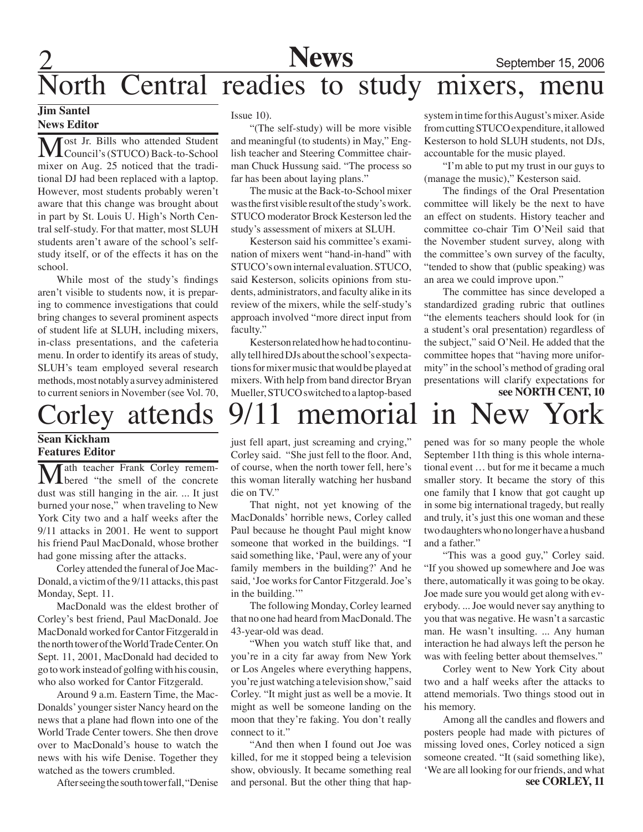## **News** September 15, 2006

## orth Central readies to study mixers, menu

### **Jim Santel News Editor**

Most Jr. Bills who attended Student<br>Council's (STUCO) Back-to-School mixer on Aug. 25 noticed that the traditional DJ had been replaced with a laptop. However, most students probably weren't aware that this change was brought about in part by St. Louis U. High's North Central self-study. For that matter, most SLUH students aren't aware of the school's selfstudy itself, or of the effects it has on the school.

While most of the study's findings aren't visible to students now, it is preparing to commence investigations that could bring changes to several prominent aspects of student life at SLUH, including mixers, in-class presentations, and the cafeteria menu. In order to identify its areas of study, SLUH's team employed several research methods, most notably a survey administered to current seniors in November (see Vol. 70,

#### **Sean Kickham Features Editor**

Math teacher Frank Corley remem-bered "the smell of the concrete dust was still hanging in the air. ... It just burned your nose," when traveling to New York City two and a half weeks after the 9/11 attacks in 2001. He went to support his friend Paul MacDonald, whose brother had gone missing after the attacks.

Corley attended the funeral of Joe Mac-Donald, a victim of the 9/11 attacks, this past Monday, Sept. 11.

MacDonald was the eldest brother of Corley's best friend, Paul MacDonald. Joe MacDonald worked for Cantor Fitzgerald in the north tower of the World Trade Center. On Sept. 11, 2001, MacDonald had decided to go to work instead of golfing with his cousin, who also worked for Cantor Fitzgerald.

Around 9 a.m. Eastern Time, the Mac-Donalds' younger sister Nancy heard on the news that a plane had flown into one of the World Trade Center towers. She then drove over to MacDonald's house to watch the news with his wife Denise. Together they watched as the towers crumbled.

After seeing the south tower fall, "Denise

Issue 10).

"(The self-study) will be more visible and meaningful (to students) in May," English teacher and Steering Committee chairman Chuck Hussung said. "The process so far has been about laying plans."

The music at the Back-to-School mixer was the first visible result of the study's work. STUCO moderator Brock Kesterson led the study's assessment of mixers at SLUH.

Kesterson said his committee's examination of mixers went "hand-in-hand" with STUCO's own internal evaluation. STUCO, said Kesterson, solicits opinions from students, administrators, and faculty alike in its review of the mixers, while the self-study's approach involved "more direct input from faculty."

Kesterson related how he had to continually tell hired DJs about the school's expectations for mixer music that would be played at mixers. With help from band director Bryan Mueller, STUCO switched to a laptop-based

## orley attends 9/11 memorial in New York

just fell apart, just screaming and crying," Corley said. "She just fell to the floor. And, of course, when the north tower fell, here's this woman literally watching her husband die on TV."

That night, not yet knowing of the MacDonalds' horrible news, Corley called Paul because he thought Paul might know someone that worked in the buildings. "I said something like, 'Paul, were any of your family members in the building?' And he said, 'Joe works for Cantor Fitzgerald. Joe's in the building."

The following Monday, Corley learned that no one had heard from MacDonald. The 43-year-old was dead.

"When you watch stuff like that, and you're in a city far away from New York or Los Angeles where everything happens, you're just watching a television show," said Corley. "It might just as well be a movie. It might as well be someone landing on the moon that they're faking. You don't really connect to it."

"And then when I found out Joe was killed, for me it stopped being a television show, obviously. It became something real and personal. But the other thing that hapsystem in time for this August's mixer. Aside from cutting STUCO expenditure, it allowed Kesterson to hold SLUH students, not DJs, accountable for the music played.

"I'm able to put my trust in our guys to (manage the music)," Kesterson said.

The findings of the Oral Presentation committee will likely be the next to have an effect on students. History teacher and committee co-chair Tim O'Neil said that the November student survey, along with the committee's own survey of the faculty, "tended to show that (public speaking) was an area we could improve upon."

**see NORTH CENT, 10** The committee has since developed a standardized grading rubric that outlines "the elements teachers should look for (in a student's oral presentation) regardless of the subject," said O'Neil. He added that the committee hopes that "having more uniformity" in the school's method of grading oral presentations will clarify expectations for

pened was for so many people the whole September 11th thing is this whole international event … but for me it became a much smaller story. It became the story of this one family that I know that got caught up in some big international tragedy, but really and truly, it's just this one woman and these two daughters who no longer have a husband and a father."

"This was a good guy," Corley said. "If you showed up somewhere and Joe was there, automatically it was going to be okay. Joe made sure you would get along with everybody. ... Joe would never say anything to you that was negative. He wasn't a sarcastic man. He wasn't insulting. ... Any human interaction he had always left the person he was with feeling better about themselves."

Corley went to New York City about two and a half weeks after the attacks to attend memorials. Two things stood out in his memory.

**see CORLEY, 11** Among all the candles and flowers and posters people had made with pictures of missing loved ones, Corley noticed a sign someone created. "It (said something like), 'We are all looking for our friends, and what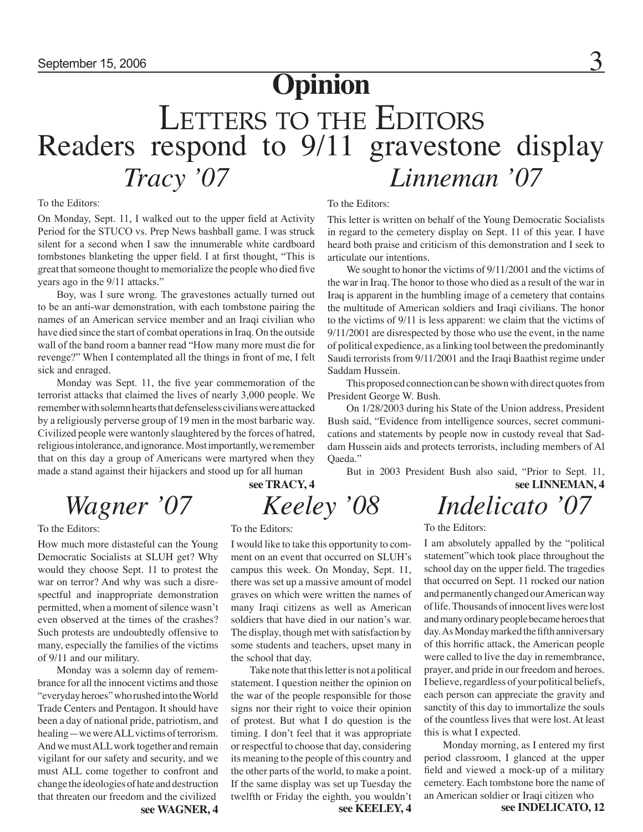## September 15, 2006  $\overline{3}$ **Opinion** LETTERS TO THE EDITORS Readers respond to 9/11 gravestone display *Tracy '07 Linneman '07*

#### To the Editors:

On Monday, Sept. 11, I walked out to the upper field at Activity Period for the STUCO vs. Prep News bashball game. I was struck silent for a second when I saw the innumerable white cardboard tombstones blanketing the upper field. I at first thought, "This is great that someone thought to memorialize the people who died five years ago in the 9/11 attacks."

Boy, was I sure wrong. The gravestones actually turned out to be an anti-war demonstration, with each tombstone pairing the names of an American service member and an Iraqi civilian who have died since the start of combat operations in Iraq. On the outside wall of the band room a banner read "How many more must die for revenge?" When I contemplated all the things in front of me, I felt sick and enraged.

Monday was Sept. 11, the five year commemoration of the terrorist attacks that claimed the lives of nearly 3,000 people. We remember with solemn hearts that defenseless civilians were attacked by a religiously perverse group of 19 men in the most barbaric way. Civilized people were wantonly slaughtered by the forces of hatred, religious intolerance, and ignorance. Most importantly, we remember that on this day a group of Americans were martyred when they made a stand against their hijackers and stood up for all human

To the Editors:

How much more distasteful can the Young Democratic Socialists at SLUH get? Why would they choose Sept. 11 to protest the war on terror? And why was such a disrespectful and inappropriate demonstration permitted, when a moment of silence wasn't even observed at the times of the crashes? Such protests are undoubtedly offensive to many, especially the families of the victims of 9/11 and our military.

Monday was a solemn day of remembrance for all the innocent victims and those "everyday heroes" who rushed into the World Trade Centers and Pentagon. It should have been a day of national pride, patriotism, and healing—we were ALL victims of terrorism. And we must ALL work together and remain vigilant for our safety and security, and we must ALL come together to confront and change the ideologies of hate and destruction that threaten our freedom and the civilized

## **see TRACY, 4** To the Editors:

I would like to take this opportunity to comment on an event that occurred on SLUH's campus this week. On Monday, Sept. 11, there was set up a massive amount of model graves on which were written the names of many Iraqi citizens as well as American soldiers that have died in our nation's war. The display, though met with satisfaction by some students and teachers, upset many in the school that day.

Take note that this letter is not a political statement. I question neither the opinion on the war of the people responsible for those signs nor their right to voice their opinion of protest. But what I do question is the timing. I don't feel that it was appropriate or respectful to choose that day, considering its meaning to the people of this country and the other parts of the world, to make a point. If the same display was set up Tuesday the twelfth or Friday the eighth, you wouldn't

To the Editors:

This letter is written on behalf of the Young Democratic Socialists in regard to the cemetery display on Sept. 11 of this year. I have heard both praise and criticism of this demonstration and I seek to articulate our intentions.

We sought to honor the victims of  $9/11/2001$  and the victims of the war in Iraq. The honor to those who died as a result of the war in Iraq is apparent in the humbling image of a cemetery that contains the multitude of American soldiers and Iraqi civilians. The honor to the victims of 9/11 is less apparent: we claim that the victims of 9/11/2001 are disrespected by those who use the event, in the name of political expedience, as a linking tool between the predominantly Saudi terrorists from 9/11/2001 and the Iraqi Baathist regime under Saddam Hussein.

This proposed connection can be shown with direct quotes from President George W. Bush.

On 1/28/2003 during his State of the Union address, President Bush said, "Evidence from intelligence sources, secret communications and statements by people now in custody reveal that Saddam Hussein aids and protects terrorists, including members of Al Oaeda."

But in 2003 President Bush also said, "Prior to Sept. 11, **see LINNEMAN, 4**

## *Wagner '07 Keeley '08 Indelicato '07*

#### To the Editors:

I am absolutely appalled by the "political statement"which took place throughout the school day on the upper field. The tragedies that occurred on Sept. 11 rocked our nation and permanently changed our American way of life. Thousands of innocent lives were lost and many ordinary people became heroes that day. As Monday marked the fifth anniversary of this horrific attack, the American people were called to live the day in remembrance, prayer, and pride in our freedom and heroes. I believe, regardless of your political beliefs, each person can appreciate the gravity and sanctity of this day to immortalize the souls of the countless lives that were lost. At least this is what I expected.

Monday morning, as I entered my first period classroom, I glanced at the upper field and viewed a mock-up of a military cemetery. Each tombstone bore the name of an American soldier or Iraqi citizen who

**see WAGNER, 4 see KEELEY, 4 see INDELICATO, 12**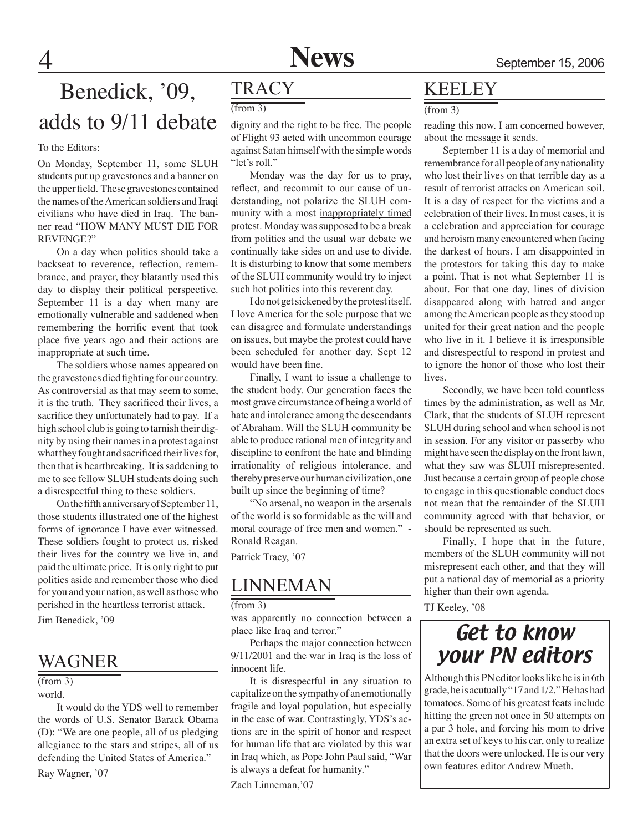### Benedick, '09, adds to 9/11 debate

#### To the Editors:

On Monday, September 11, some SLUH students put up gravestones and a banner on the upper field. These gravestones contained the names of the American soldiers and Iraqi civilians who have died in Iraq. The banner read "HOW MANY MUST DIE FOR REVENGE?"

On a day when politics should take a backseat to reverence, reflection, remembrance, and prayer, they blatantly used this day to display their political perspective. September 11 is a day when many are emotionally vulnerable and saddened when remembering the horrific event that took place five years ago and their actions are inappropriate at such time.

The soldiers whose names appeared on the gravestones died fighting for our country. As controversial as that may seem to some, it is the truth. They sacrificed their lives, a sacrifice they unfortunately had to pay. If a high school club is going to tarnish their dignity by using their names in a protest against what they fought and sacrificed their lives for, then that is heartbreaking. It is saddening to me to see fellow SLUH students doing such a disrespectful thing to these soldiers.

On the fifth anniversary of September 11, those students illustrated one of the highest forms of ignorance I have ever witnessed. These soldiers fought to protect us, risked their lives for the country we live in, and paid the ultimate price. It is only right to put politics aside and remember those who died for you and your nation, as well as those who perished in the heartless terrorist attack.

Jim Benedick, '09

### WAGNER

#### (from 3)

world.

It would do the YDS well to remember the words of U.S. Senator Barack Obama (D): "We are one people, all of us pledging allegiance to the stars and stripes, all of us defending the United States of America."

Ray Wagner, '07

### **TRACY**

(from 3)

dignity and the right to be free. The people of Flight 93 acted with uncommon courage against Satan himself with the simple words "let's roll."

Monday was the day for us to pray, reflect, and recommit to our cause of understanding, not polarize the SLUH community with a most inappropriately timed protest. Monday was supposed to be a break from politics and the usual war debate we continually take sides on and use to divide. It is disturbing to know that some members of the SLUH community would try to inject such hot politics into this reverent day.

I do not get sickened by the protest itself. I love America for the sole purpose that we can disagree and formulate understandings on issues, but maybe the protest could have been scheduled for another day. Sept 12 would have been fine.

Finally, I want to issue a challenge to the student body. Our generation faces the most grave circumstance of being a world of hate and intolerance among the descendants of Abraham. Will the SLUH community be able to produce rational men of integrity and discipline to confront the hate and blinding irrationality of religious intolerance, and thereby preserve our human civilization, one built up since the beginning of time?

"No arsenal, no weapon in the arsenals of the world is so formidable as the will and moral courage of free men and women." - Ronald Reagan.

Patrick Tracy, '07

### LINNEMAN

 $(from 3)$ 

was apparently no connection between a place like Iraq and terror."

Perhaps the major connection between 9/11/2001 and the war in Iraq is the loss of innocent life.

It is disrespectful in any situation to capitalize on the sympathy of an emotionally fragile and loyal population, but especially in the case of war. Contrastingly, YDS's actions are in the spirit of honor and respect for human life that are violated by this war in Iraq which, as Pope John Paul said, "War is always a defeat for humanity."

Zach Linneman,'07

### KEELEY

(from 3)

reading this now. I am concerned however, about the message it sends.

September 11 is a day of memorial and remembrance for all people of any nationality who lost their lives on that terrible day as a result of terrorist attacks on American soil. It is a day of respect for the victims and a celebration of their lives. In most cases, it is a celebration and appreciation for courage and heroism many encountered when facing the darkest of hours. I am disappointed in the protestors for taking this day to make a point. That is not what September 11 is about. For that one day, lines of division disappeared along with hatred and anger among the American people as they stood up united for their great nation and the people who live in it. I believe it is irresponsible and disrespectful to respond in protest and to ignore the honor of those who lost their lives.

Secondly, we have been told countless times by the administration, as well as Mr. Clark, that the students of SLUH represent SLUH during school and when school is not in session. For any visitor or passerby who might have seen the display on the front lawn, what they saw was SLUH misrepresented. Just because a certain group of people chose to engage in this questionable conduct does not mean that the remainder of the SLUH community agreed with that behavior, or should be represented as such.

Finally, I hope that in the future, members of the SLUH community will not misrepresent each other, and that they will put a national day of memorial as a priority higher than their own agenda.

TJ Keeley, '08

### Get to know your PN editors

Although this PN editor looks like he is in 6th grade, he is acutually "17 and 1/2." He has had tomatoes. Some of his greatest feats include hitting the green not once in 50 attempts on a par 3 hole, and forcing his mom to drive an extra set of keys to his car, only to realize that the doors were unlocked. He is our very own features editor Andrew Mueth.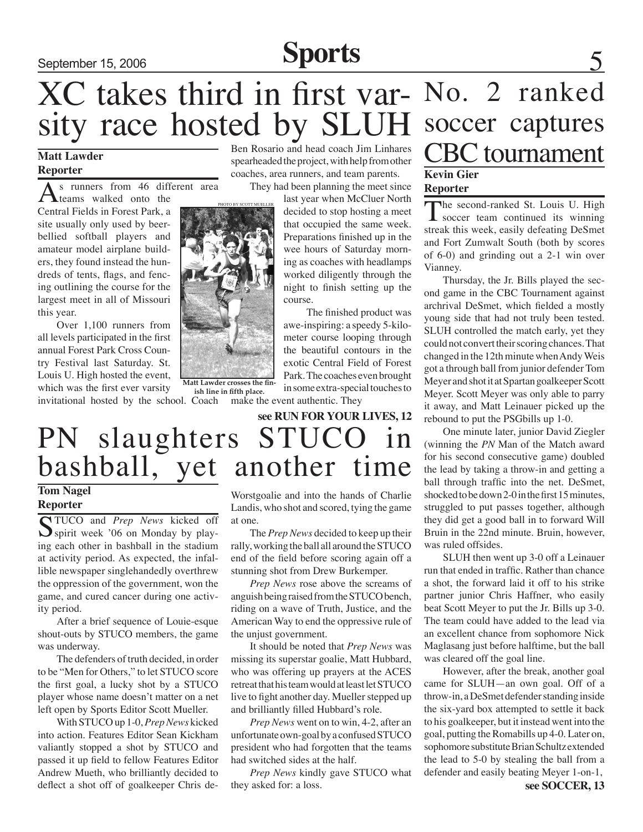## September 15, 2006 **Sports**

sity race hosted by SLUH XC takes third in first var- No. 2 ranked

### **Matt Lawder Reporter**

s runners from 46 different area teams walked onto the

Central Fields in Forest Park, a site usually only used by beerbellied softball players and amateur model airplane builders, they found instead the hundreds of tents, flags, and fencing outlining the course for the largest meet in all of Missouri this year.

Over 1,100 runners from all levels participated in the first annual Forest Park Cross Country Festival last Saturday. St. Louis U. High hosted the event, which was the first ever varsity invitational hosted by the school. Coach Ben Rosario and head coach Jim Linhares spearheaded the project, with help from other coaches, area runners, and team parents.

They had been planning the meet since

last year when McCluer North decided to stop hosting a meet that occupied the same week. Preparations finished up in the wee hours of Saturday morning as coaches with headlamps worked diligently through the night to finish setting up the course.

The finished product was awe-inspiring: a speedy 5-kilometer course looping through the beautiful contours in the exotic Central Field of Forest Park. The coaches even brought in some extra-special touches to

make the event authentic. They

PN slaughters STUCO in bashball, yet another time **see RUN FOR YOUR LIVES, 12**

### **Tom Nagel Reporter**

STUCO and *Prep News* kicked off  $\sum$  spirit week '06 on Monday by playing each other in bashball in the stadium at activity period. As expected, the infallible newspaper singlehandedly overthrew the oppression of the government, won the game, and cured cancer during one activity period.

After a brief sequence of Louie-esque shout-outs by STUCO members, the game was underway.

The defenders of truth decided, in order to be "Men for Others," to let STUCO score the first goal, a lucky shot by a STUCO player whose name doesn't matter on a net left open by Sports Editor Scott Mueller.

With STUCO up 1-0, *Prep News* kicked into action. Features Editor Sean Kickham valiantly stopped a shot by STUCO and passed it up field to fellow Features Editor Andrew Mueth, who brilliantly decided to deflect a shot off of goalkeeper Chris de-

Worstgoalie and into the hands of Charlie Landis, who shot and scored, tying the game at one.

The *Prep News* decided to keep up their rally, working the ball all around the STUCO end of the field before scoring again off a stunning shot from Drew Burkemper.

*Prep News* rose above the screams of anguish being raised from the STUCO bench, riding on a wave of Truth, Justice, and the American Way to end the oppressive rule of the unjust government.

It should be noted that *Prep News* was missing its superstar goalie, Matt Hubbard, who was offering up prayers at the ACES retreat that his team would at least let STUCO live to fight another day. Mueller stepped up and brilliantly filled Hubbard's role.

 *Prep News* went on to win, 4-2, after an unfortunate own-goal by a confused STUCO president who had forgotten that the teams had switched sides at the half.

 *Prep News* kindly gave STUCO what they asked for: a loss.

## soccer captures CBC tournament **Kevin Gier Reporter**

The second-ranked St. Louis U. High soccer team continued its winning streak this week, easily defeating DeSmet and Fort Zumwalt South (both by scores of 6-0) and grinding out a 2-1 win over Vianney.

Thursday, the Jr. Bills played the second game in the CBC Tournament against archrival DeSmet, which fielded a mostly young side that had not truly been tested. SLUH controlled the match early, yet they could not convert their scoring chances. That changed in the 12th minute when Andy Weis got a through ball from junior defender Tom Meyer and shot it at Spartan goalkeeper Scott Meyer. Scott Meyer was only able to parry it away, and Matt Leinauer picked up the rebound to put the PSGbills up 1-0.

One minute later, junior David Ziegler (winning the *PN* Man of the Match award for his second consecutive game) doubled the lead by taking a throw-in and getting a ball through traffic into the net. DeSmet, shocked to be down 2-0 in the first 15 minutes, struggled to put passes together, although they did get a good ball in to forward Will Bruin in the 22nd minute. Bruin, however, was ruled offsides.

SLUH then went up 3-0 off a Leinauer run that ended in traffic. Rather than chance a shot, the forward laid it off to his strike partner junior Chris Haffner, who easily beat Scott Meyer to put the Jr. Bills up 3-0. The team could have added to the lead via an excellent chance from sophomore Nick Maglasang just before halftime, but the ball was cleared off the goal line.

However, after the break, another goal came for SLUH—an own goal. Off of a throw-in, a DeSmet defender standing inside the six-yard box attempted to settle it back to his goalkeeper, but it instead went into the goal, putting the Romabills up 4-0. Later on, sophomore substitute Brian Schultz extended the lead to 5-0 by stealing the ball from a defender and easily beating Meyer 1-on-1,



**Matt Lawder crosses the finish line in fifth place.**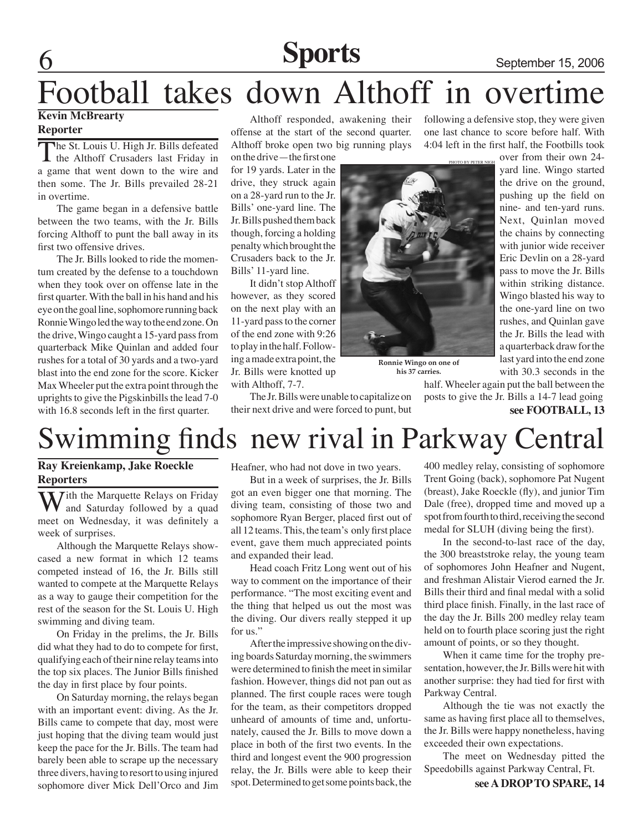## Sports September 15, 2006

# Football takes down Althoff in overtime

### **Kevin McBrearty Reporter**

The St. Louis U. High Jr. Bills defeated<br>the Althoff Crusaders last Friday in a game that went down to the wire and then some. The Jr. Bills prevailed 28-21 in overtime.

The game began in a defensive battle between the two teams, with the Jr. Bills forcing Althoff to punt the ball away in its first two offensive drives.

The Jr. Bills looked to ride the momentum created by the defense to a touchdown when they took over on offense late in the first quarter. With the ball in his hand and his eye on the goal line, sophomore running back Ronnie Wingo led the way to the end zone. On the drive, Wingo caught a 15-yard pass from quarterback Mike Quinlan and added four rushes for a total of 30 yards and a two-yard blast into the end zone for the score. Kicker Max Wheeler put the extra point through the uprights to give the Pigskinbills the lead 7-0 with 16.8 seconds left in the first quarter.

Althoff responded, awakening their offense at the start of the second quarter. Althoff broke open two big running plays

on the drive—the first one for 19 yards. Later in the drive, they struck again on a 28-yard run to the Jr. Bills' one-yard line. The Jr. Bills pushed them back though, forcing a holding penalty which brought the Crusaders back to the Jr. Bills' 11-yard line.

It didn't stop Althoff however, as they scored on the next play with an 11-yard pass to the corner of the end zone with 9:26 to play in the half. Following a made extra point, the Jr. Bills were knotted up with Althoff, 7-7.

The Jr. Bills were unable to capitalize on their next drive and were forced to punt, but following a defensive stop, they were given one last chance to score before half. With 4:04 left in the first half, the Footbills took



**Ronnie Wingo on one of his 37 carries.**

over from their own 24 yard line. Wingo started the drive on the ground, pushing up the field on nine- and ten-yard runs. Next, Quinlan moved the chains by connecting with junior wide receiver Eric Devlin on a 28-yard pass to move the Jr. Bills within striking distance. Wingo blasted his way to the one-yard line on two rushes, and Quinlan gave the Jr. Bills the lead with a quarterback draw for the last yard into the end zone with 30.3 seconds in the

half. Wheeler again put the ball between the posts to give the Jr. Bills a 14-7 lead going

## Swimming finds new rival in Parkway Central

### **Ray Kreienkamp, Jake Roeckle Reporters**

*ith the Marquette Relays on Friday* and Saturday followed by a quad meet on Wednesday, it was definitely a week of surprises.

Although the Marquette Relays showcased a new format in which 12 teams competed instead of 16, the Jr. Bills still wanted to compete at the Marquette Relays as a way to gauge their competition for the rest of the season for the St. Louis U. High swimming and diving team.

On Friday in the prelims, the Jr. Bills did what they had to do to compete for first, qualifying each of their nine relay teams into the top six places. The Junior Bills finished the day in first place by four points.

On Saturday morning, the relays began with an important event: diving. As the Jr. Bills came to compete that day, most were just hoping that the diving team would just keep the pace for the Jr. Bills. The team had barely been able to scrape up the necessary three divers, having to resort to using injured sophomore diver Mick Dell'Orco and Jim

Heafner, who had not dove in two years.

But in a week of surprises, the Jr. Bills got an even bigger one that morning. The diving team, consisting of those two and sophomore Ryan Berger, placed first out of all 12 teams. This, the team's only first place event, gave them much appreciated points and expanded their lead.

Head coach Fritz Long went out of his way to comment on the importance of their performance. "The most exciting event and the thing that helped us out the most was the diving. Our divers really stepped it up for us."

After the impressive showing on the diving boards Saturday morning, the swimmers were determined to finish the meet in similar fashion. However, things did not pan out as planned. The first couple races were tough for the team, as their competitors dropped unheard of amounts of time and, unfortunately, caused the Jr. Bills to move down a place in both of the first two events. In the third and longest event the 900 progression relay, the Jr. Bills were able to keep their spot. Determined to get some points back, the 400 medley relay, consisting of sophomore Trent Going (back), sophomore Pat Nugent (breast), Jake Roeckle (fly), and junior Tim Dale (free), dropped time and moved up a spot from fourth to third, receiving the second medal for SLUH (diving being the first).

In the second-to-last race of the day, the 300 breaststroke relay, the young team of sophomores John Heafner and Nugent, and freshman Alistair Vierod earned the Jr. Bills their third and final medal with a solid third place finish. Finally, in the last race of the day the Jr. Bills 200 medley relay team held on to fourth place scoring just the right amount of points, or so they thought.

When it came time for the trophy presentation, however, the Jr. Bills were hit with another surprise: they had tied for first with Parkway Central.

Although the tie was not exactly the same as having first place all to themselves, the Jr. Bills were happy nonetheless, having exceeded their own expectations.

The meet on Wednesday pitted the Speedobills against Parkway Central, Ft.

**see FOOTBALL, 13**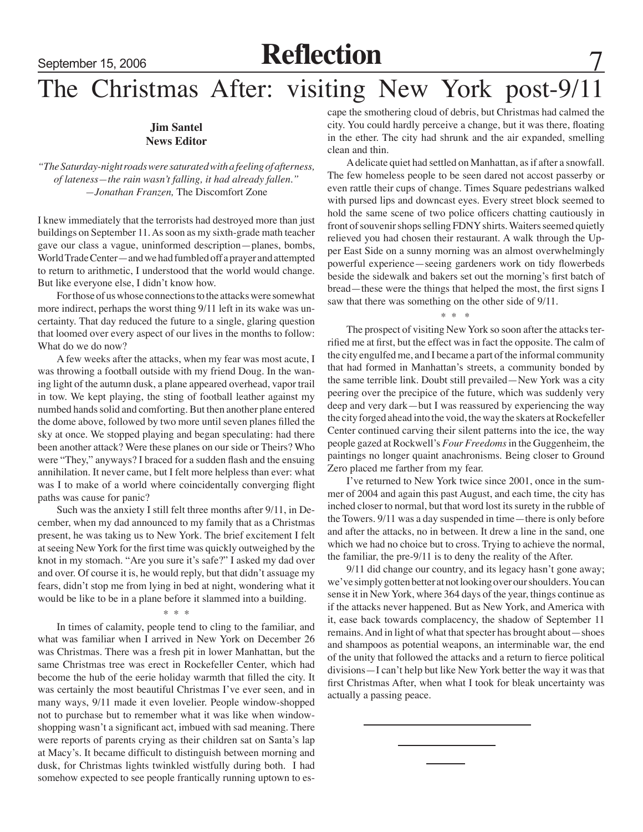## September 15, 2006 **Reflection**

## The Christmas After: visiting New York post-9/11

### **Jim Santel News Editor**

*"The Saturday-night roads were saturated with a feeling of afterness, of lateness—the rain wasn't falling, it had already fallen." —Jonathan Franzen,* The Discomfort Zone

I knew immediately that the terrorists had destroyed more than just buildings on September 11. As soon as my sixth-grade math teacher gave our class a vague, uninformed description—planes, bombs, World Trade Center—and we had fumbled off a prayer and attempted to return to arithmetic, I understood that the world would change. But like everyone else, I didn't know how.

For those of us whose connections to the attacks were somewhat more indirect, perhaps the worst thing 9/11 left in its wake was uncertainty. That day reduced the future to a single, glaring question that loomed over every aspect of our lives in the months to follow: What do we do now?

A few weeks after the attacks, when my fear was most acute, I was throwing a football outside with my friend Doug. In the waning light of the autumn dusk, a plane appeared overhead, vapor trail in tow. We kept playing, the sting of football leather against my numbed hands solid and comforting. But then another plane entered the dome above, followed by two more until seven planes filled the sky at once. We stopped playing and began speculating: had there been another attack? Were these planes on our side or Theirs? Who were "They," anyways? I braced for a sudden flash and the ensuing annihilation. It never came, but I felt more helpless than ever: what was I to make of a world where coincidentally converging flight paths was cause for panic?

Such was the anxiety I still felt three months after 9/11, in December, when my dad announced to my family that as a Christmas present, he was taking us to New York. The brief excitement I felt at seeing New York for the first time was quickly outweighed by the knot in my stomach. "Are you sure it's safe?" I asked my dad over and over. Of course it is, he would reply, but that didn't assuage my fears, didn't stop me from lying in bed at night, wondering what it would be like to be in a plane before it slammed into a building.

#### \* \* \*

In times of calamity, people tend to cling to the familiar, and what was familiar when I arrived in New York on December 26 was Christmas. There was a fresh pit in lower Manhattan, but the same Christmas tree was erect in Rockefeller Center, which had become the hub of the eerie holiday warmth that filled the city. It was certainly the most beautiful Christmas I've ever seen, and in many ways, 9/11 made it even lovelier. People window-shopped not to purchase but to remember what it was like when windowshopping wasn't a significant act, imbued with sad meaning. There were reports of parents crying as their children sat on Santa's lap at Macy's. It became difficult to distinguish between morning and dusk, for Christmas lights twinkled wistfully during both. I had somehow expected to see people frantically running uptown to escape the smothering cloud of debris, but Christmas had calmed the city. You could hardly perceive a change, but it was there, floating in the ether. The city had shrunk and the air expanded, smelling clean and thin.

A delicate quiet had settled on Manhattan, as if after a snowfall. The few homeless people to be seen dared not accost passerby or even rattle their cups of change. Times Square pedestrians walked with pursed lips and downcast eyes. Every street block seemed to hold the same scene of two police officers chatting cautiously in front of souvenir shops selling FDNY shirts. Waiters seemed quietly relieved you had chosen their restaurant. A walk through the Upper East Side on a sunny morning was an almost overwhelmingly powerful experience—seeing gardeners work on tidy flowerbeds beside the sidewalk and bakers set out the morning's first batch of bread—these were the things that helped the most, the first signs I saw that there was something on the other side of  $9/11$ .

#### $*$  \* \* \*

The prospect of visiting New York so soon after the attacks terrified me at first, but the effect was in fact the opposite. The calm of the city engulfed me, and I became a part of the informal community that had formed in Manhattan's streets, a community bonded by the same terrible link. Doubt still prevailed—New York was a city peering over the precipice of the future, which was suddenly very deep and very dark—but I was reassured by experiencing the way the city forged ahead into the void, the way the skaters at Rockefeller Center continued carving their silent patterns into the ice, the way people gazed at Rockwell's *Four Freedoms* in the Guggenheim, the paintings no longer quaint anachronisms. Being closer to Ground Zero placed me farther from my fear.

I've returned to New York twice since 2001, once in the summer of 2004 and again this past August, and each time, the city has inched closer to normal, but that word lost its surety in the rubble of the Towers. 9/11 was a day suspended in time—there is only before and after the attacks, no in between. It drew a line in the sand, one which we had no choice but to cross. Trying to achieve the normal, the familiar, the pre-9/11 is to deny the reality of the After.

9/11 did change our country, and its legacy hasn't gone away; we've simply gotten better at not looking over our shoulders. You can sense it in New York, where 364 days of the year, things continue as if the attacks never happened. But as New York, and America with it, ease back towards complacency, the shadow of September 11 remains. And in light of what that specter has brought about—shoes and shampoos as potential weapons, an interminable war, the end of the unity that followed the attacks and a return to fierce political divisions—I can't help but like New York better the way it was that first Christmas After, when what I took for bleak uncertainty was actually a passing peace.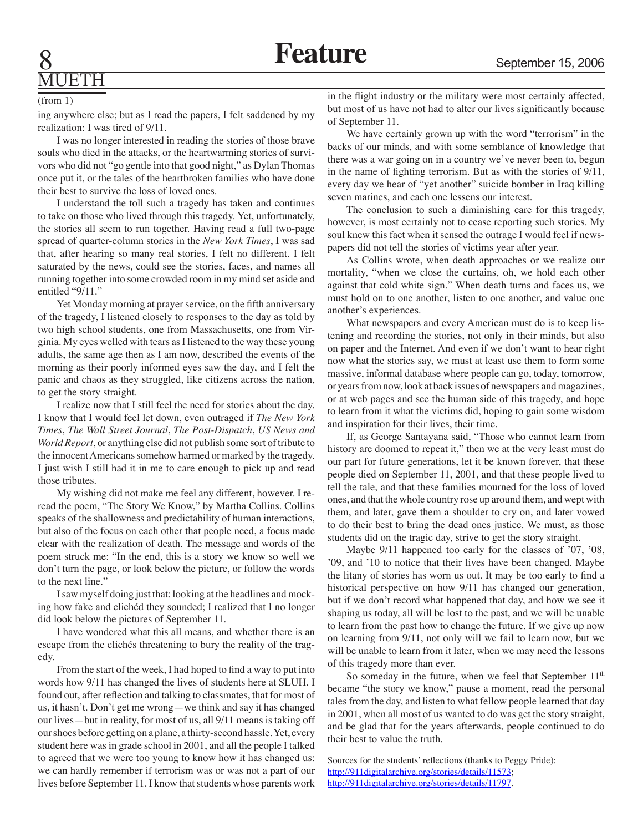# MUETH

#### (from 1)

ing anywhere else; but as I read the papers, I felt saddened by my realization: I was tired of 9/11.

I was no longer interested in reading the stories of those brave souls who died in the attacks, or the heartwarming stories of survivors who did not "go gentle into that good night," as Dylan Thomas once put it, or the tales of the heartbroken families who have done their best to survive the loss of loved ones.

I understand the toll such a tragedy has taken and continues to take on those who lived through this tragedy. Yet, unfortunately, the stories all seem to run together. Having read a full two-page spread of quarter-column stories in the *New York Times*, I was sad that, after hearing so many real stories, I felt no different. I felt saturated by the news, could see the stories, faces, and names all running together into some crowded room in my mind set aside and entitled "9/11."

Yet Monday morning at prayer service, on the fifth anniversary of the tragedy, I listened closely to responses to the day as told by two high school students, one from Massachusetts, one from Virginia. My eyes welled with tears as I listened to the way these young adults, the same age then as I am now, described the events of the morning as their poorly informed eyes saw the day, and I felt the panic and chaos as they struggled, like citizens across the nation, to get the story straight.

I realize now that I still feel the need for stories about the day. I know that I would feel let down, even outraged if *The New York Times*, *The Wall Street Journal*, *The Post-Dispatch*, *US News and World Report*, or anything else did not publish some sort of tribute to the innocent Americans somehow harmed or marked by the tragedy. I just wish I still had it in me to care enough to pick up and read those tributes.

My wishing did not make me feel any different, however. I reread the poem, "The Story We Know," by Martha Collins. Collins speaks of the shallowness and predictability of human interactions, but also of the focus on each other that people need, a focus made clear with the realization of death. The message and words of the poem struck me: "In the end, this is a story we know so well we don't turn the page, or look below the picture, or follow the words to the next line."

I saw myself doing just that: looking at the headlines and mocking how fake and clichéd they sounded; I realized that I no longer did look below the pictures of September 11.

I have wondered what this all means, and whether there is an escape from the clichés threatening to bury the reality of the tragedy.

From the start of the week, I had hoped to find a way to put into words how 9/11 has changed the lives of students here at SLUH. I found out, after reflection and talking to classmates, that for most of us, it hasn't. Don't get me wrong—we think and say it has changed our lives—but in reality, for most of us, all 9/11 means is taking off our shoes before getting on a plane, a thirty-second hassle. Yet, every student here was in grade school in 2001, and all the people I talked to agreed that we were too young to know how it has changed us: we can hardly remember if terrorism was or was not a part of our lives before September 11. I know that students whose parents work

in the flight industry or the military were most certainly affected, but most of us have not had to alter our lives significantly because of September 11.

We have certainly grown up with the word "terrorism" in the backs of our minds, and with some semblance of knowledge that there was a war going on in a country we've never been to, begun in the name of fighting terrorism. But as with the stories of 9/11, every day we hear of "yet another" suicide bomber in Iraq killing seven marines, and each one lessens our interest.

The conclusion to such a diminishing care for this tragedy, however, is most certainly not to cease reporting such stories. My soul knew this fact when it sensed the outrage I would feel if newspapers did not tell the stories of victims year after year.

As Collins wrote, when death approaches or we realize our mortality, "when we close the curtains, oh, we hold each other against that cold white sign." When death turns and faces us, we must hold on to one another, listen to one another, and value one another's experiences.

What newspapers and every American must do is to keep listening and recording the stories, not only in their minds, but also on paper and the Internet. And even if we don't want to hear right now what the stories say, we must at least use them to form some massive, informal database where people can go, today, tomorrow, or years from now, look at back issues of newspapers and magazines, or at web pages and see the human side of this tragedy, and hope to learn from it what the victims did, hoping to gain some wisdom and inspiration for their lives, their time.

If, as George Santayana said, "Those who cannot learn from history are doomed to repeat it," then we at the very least must do our part for future generations, let it be known forever, that these people died on September 11, 2001, and that these people lived to tell the tale, and that these families mourned for the loss of loved ones, and that the whole country rose up around them, and wept with them, and later, gave them a shoulder to cry on, and later vowed to do their best to bring the dead ones justice. We must, as those students did on the tragic day, strive to get the story straight.

Maybe 9/11 happened too early for the classes of '07, '08, '09, and '10 to notice that their lives have been changed. Maybe the litany of stories has worn us out. It may be too early to find a historical perspective on how 9/11 has changed our generation, but if we don't record what happened that day, and how we see it shaping us today, all will be lost to the past, and we will be unable to learn from the past how to change the future. If we give up now on learning from 9/11, not only will we fail to learn now, but we will be unable to learn from it later, when we may need the lessons of this tragedy more than ever.

So someday in the future, when we feel that September  $11<sup>th</sup>$ became "the story we know," pause a moment, read the personal tales from the day, and listen to what fellow people learned that day in 2001, when all most of us wanted to do was get the story straight, and be glad that for the years afterwards, people continued to do their best to value the truth.

Sources for the students' reflections (thanks to Peggy Pride): http://911digitalarchive.org/stories/details/11573; http://911digitalarchive.org/stories/details/11797.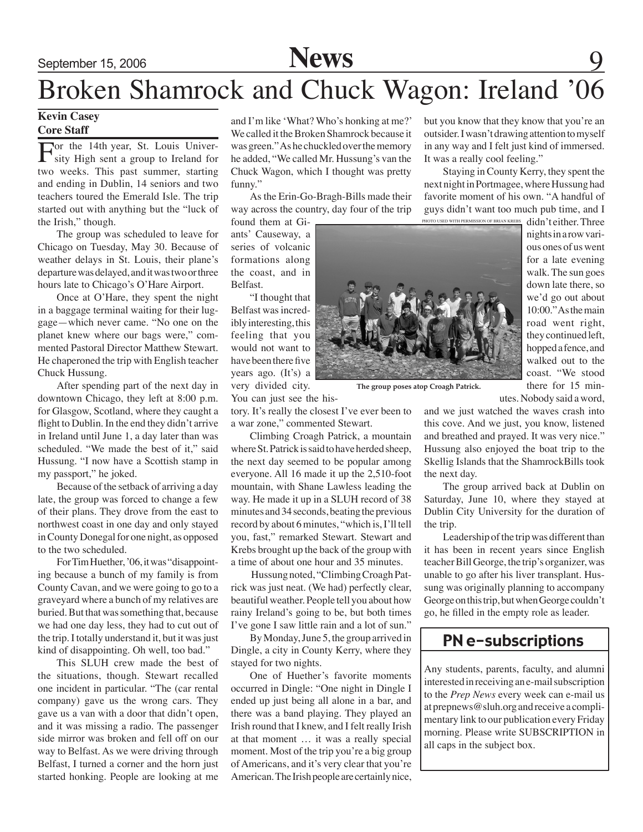# September 15, 2006 **News** 9

## Broken Shamrock and Chuck Wagon: Ireland '06

#### **Kevin Casey Core Staff**

For the 14th year, St. Louis Univer-sity High sent a group to Ireland for two weeks. This past summer, starting and ending in Dublin, 14 seniors and two teachers toured the Emerald Isle. The trip started out with anything but the "luck of the Irish," though.

The group was scheduled to leave for Chicago on Tuesday, May 30. Because of weather delays in St. Louis, their plane's departure was delayed, and it was two or three hours late to Chicago's O'Hare Airport.

Once at O'Hare, they spent the night in a baggage terminal waiting for their luggage—which never came. "No one on the planet knew where our bags were," commented Pastoral Director Matthew Stewart. He chaperoned the trip with English teacher Chuck Hussung.

After spending part of the next day in downtown Chicago, they left at 8:00 p.m. for Glasgow, Scotland, where they caught a flight to Dublin. In the end they didn't arrive in Ireland until June 1, a day later than was scheduled. "We made the best of it," said Hussung. "I now have a Scottish stamp in my passport," he joked.

Because of the setback of arriving a day late, the group was forced to change a few of their plans. They drove from the east to northwest coast in one day and only stayed in County Donegal for one night, as opposed to the two scheduled.

For Tim Huether, '06, it was "disappointing because a bunch of my family is from County Cavan, and we were going to go to a graveyard where a bunch of my relatives are buried. But that was something that, because we had one day less, they had to cut out of the trip. I totally understand it, but it was just kind of disappointing. Oh well, too bad."

This SLUH crew made the best of the situations, though. Stewart recalled one incident in particular. "The (car rental company) gave us the wrong cars. They gave us a van with a door that didn't open, and it was missing a radio. The passenger side mirror was broken and fell off on our way to Belfast. As we were driving through Belfast, I turned a corner and the horn just started honking. People are looking at me

and I'm like 'What? Who's honking at me?' We called it the Broken Shamrock because it was green." As he chuckled over the memory he added, "We called Mr. Hussung's van the Chuck Wagon, which I thought was pretty funny."

As the Erin-Go-Bragh-Bills made their way across the country, day four of the trip

found them at Giants' Causeway, a series of volcanic formations along the coast, and in Belfast.

"I thought that Belfast was incredibly interesting, this feeling that you would not want to have been there five years ago. (It's) a very divided city.

You can just see the his-

tory. It's really the closest I've ever been to a war zone," commented Stewart.

Climbing Croagh Patrick, a mountain where St. Patrick is said to have herded sheep, the next day seemed to be popular among everyone. All 16 made it up the 2,510-foot mountain, with Shane Lawless leading the way. He made it up in a SLUH record of 38 minutes and 34 seconds, beating the previous record by about 6 minutes, "which is, I'll tell you, fast," remarked Stewart. Stewart and Krebs brought up the back of the group with a time of about one hour and 35 minutes.

 Hussung noted, "Climbing Croagh Patrick was just neat. (We had) perfectly clear, beautiful weather. People tell you about how rainy Ireland's going to be, but both times I've gone I saw little rain and a lot of sun."

By Monday, June 5, the group arrived in Dingle, a city in County Kerry, where they stayed for two nights.

One of Huether's favorite moments occurred in Dingle: "One night in Dingle I ended up just being all alone in a bar, and there was a band playing. They played an Irish round that I knew, and I felt really Irish at that moment … it was a really special moment. Most of the trip you're a big group of Americans, and it's very clear that you're American. The Irish people are certainly nice,

but you know that they know that you're an outsider. I wasn't drawing attention to myself in any way and I felt just kind of immersed. It was a really cool feeling."

Staying in County Kerry, they spent the next night in Portmagee, where Hussung had favorite moment of his own. "A handful of guys didn't want too much pub time, and I Photo used with permission of brian krebs

**The group poses atop Croagh Patrick.**

didn't either. Three nights in a row various ones of us went for a late evening walk. The sun goes down late there, so we'd go out about 10:00." As the main road went right, they continued left, hopped a fence, and walked out to the coast. "We stood there for 15 min-

utes. Nobody said a word,

and we just watched the waves crash into this cove. And we just, you know, listened and breathed and prayed. It was very nice." Hussung also enjoyed the boat trip to the Skellig Islands that the ShamrockBills took the next day.

The group arrived back at Dublin on Saturday, June 10, where they stayed at Dublin City University for the duration of the trip.

Leadership of the trip was different than it has been in recent years since English teacher Bill George, the trip's organizer, was unable to go after his liver transplant. Hussung was originally planning to accompany George on this trip, but when George couldn't go, he filled in the empty role as leader.

### PN e-subscriptions

Any students, parents, faculty, and alumni interested in receiving an e-mail subscription to the *Prep News* every week can e-mail us at prepnews@sluh.org and receive a complimentary link to our publication every Friday morning. Please write SUBSCRIPTION in all caps in the subject box.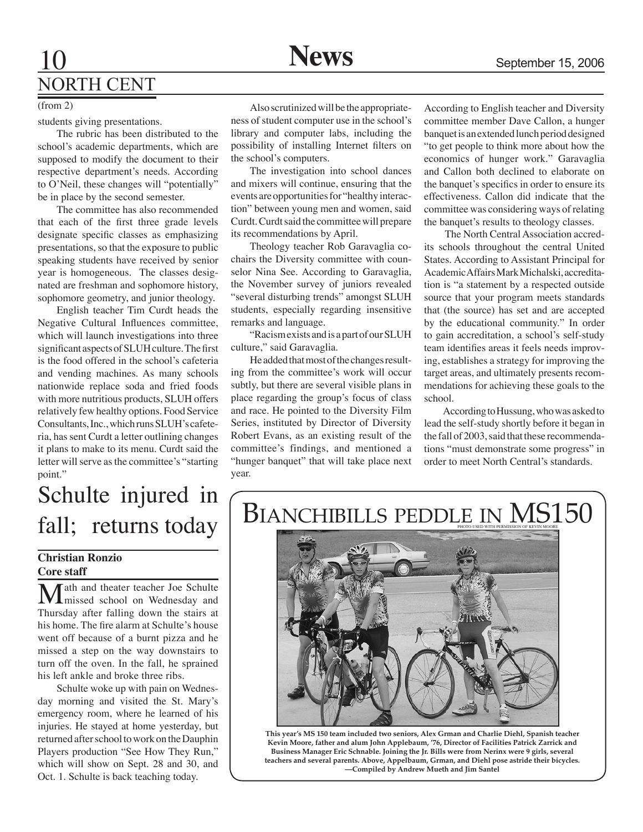### 10 **News** September 15, 2006 NORTH CENT

#### (from 2)

students giving presentations.

The rubric has been distributed to the school's academic departments, which are supposed to modify the document to their respective department's needs. According to O'Neil, these changes will "potentially" be in place by the second semester.

The committee has also recommended that each of the first three grade levels designate specific classes as emphasizing presentations, so that the exposure to public speaking students have received by senior year is homogeneous. The classes designated are freshman and sophomore history, sophomore geometry, and junior theology.

English teacher Tim Curdt heads the Negative Cultural Influences committee, which will launch investigations into three significant aspects of SLUH culture. The first is the food offered in the school's cafeteria and vending machines. As many schools nationwide replace soda and fried foods with more nutritious products, SLUH offers relatively few healthy options. Food Service Consultants, Inc., which runs SLUH's cafeteria, has sent Curdt a letter outlining changes it plans to make to its menu. Curdt said the letter will serve as the committee's "starting point."

# Schulte injured in

### **Christian Ronzio Core staff**

**Math and theater teacher Joe Schulte** missed school on Wednesday and Thursday after falling down the stairs at his home. The fire alarm at Schulte's house went off because of a burnt pizza and he missed a step on the way downstairs to turn off the oven. In the fall, he sprained his left ankle and broke three ribs.

Schulte woke up with pain on Wednesday morning and visited the St. Mary's emergency room, where he learned of his injuries. He stayed at home yesterday, but returned after school to work on the Dauphin Players production "See How They Run," which will show on Sept. 28 and 30, and Oct. 1. Schulte is back teaching today.

Also scrutinized will be the appropriateness of student computer use in the school's library and computer labs, including the possibility of installing Internet filters on the school's computers.

The investigation into school dances and mixers will continue, ensuring that the events are opportunities for "healthy interaction" between young men and women, said Curdt. Curdt said the committee will prepare its recommendations by April.

Theology teacher Rob Garavaglia cochairs the Diversity committee with counselor Nina See. According to Garavaglia, the November survey of juniors revealed "several disturbing trends" amongst SLUH students, especially regarding insensitive remarks and language.

"Racism exists and is a part of our SLUH culture," said Garavaglia.

He added that most of the changes resulting from the committee's work will occur subtly, but there are several visible plans in place regarding the group's focus of class and race. He pointed to the Diversity Film Series, instituted by Director of Diversity Robert Evans, as an existing result of the committee's findings, and mentioned a "hunger banquet" that will take place next year.

According to English teacher and Diversity committee member Dave Callon, a hunger banquet is an extended lunch period designed "to get people to think more about how the economics of hunger work." Garavaglia and Callon both declined to elaborate on the banquet's specifics in order to ensure its effectiveness. Callon did indicate that the committee was considering ways of relating the banquet's results to theology classes.

 The North Central Association accredits schools throughout the central United States. According to Assistant Principal for Academic Affairs Mark Michalski, accreditation is "a statement by a respected outside source that your program meets standards that (the source) has set and are accepted by the educational community." In order to gain accreditation, a school's self-study team identifies areas it feels needs improving, establishes a strategy for improving the target areas, and ultimately presents recommendations for achieving these goals to the school.

According to Hussung, who was asked to lead the self-study shortly before it began in the fall of 2003, said that these recommendations "must demonstrate some progress" in order to meet North Central's standards.

### $fall;$  returns today  $\vert$  BIANCHIBILLS PEDDLE IN MS150 PHOTO USED WITH PERMISSION OF KEVIN M



**This year's MS 150 team included two seniors, Alex Grman and Charlie Diehl, Spanish teacher Kevin Moore, father and alum John Applebaum, '76, Director of Facilities Patrick Zarrick and Business Manager Eric Schnable. Joining the Jr. Bills were from Nerinx were 9 girls, several teachers and several parents. Above, Appelbaum, Grman, and Diehl pose astride their bicycles. —Compiled by Andrew Mueth and Jim Santel**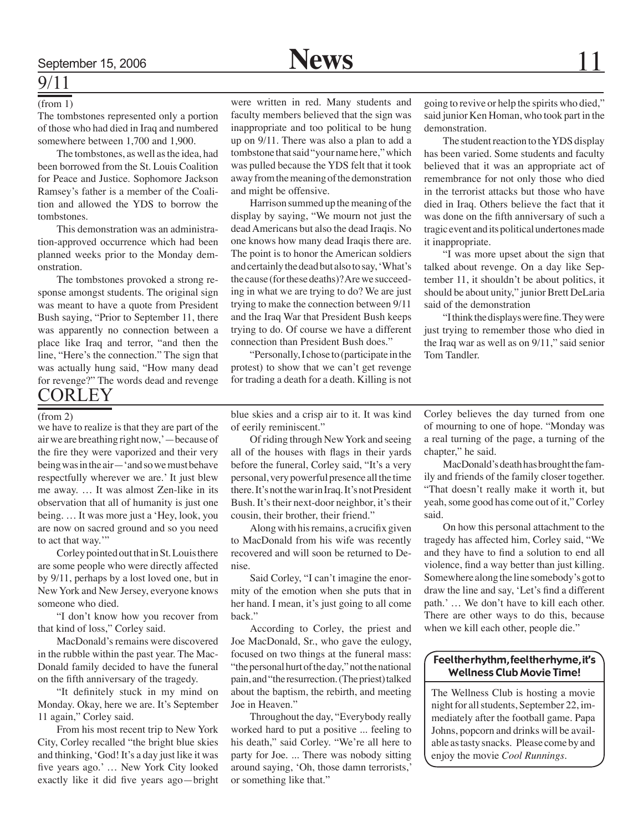### 9/11

The tombstones represented only a portion of those who had died in Iraq and numbered somewhere between 1,700 and 1,900.

The tombstones, as well as the idea, had been borrowed from the St. Louis Coalition for Peace and Justice. Sophomore Jackson Ramsey's father is a member of the Coalition and allowed the YDS to borrow the tombstones.

This demonstration was an administration-approved occurrence which had been planned weeks prior to the Monday demonstration.

The tombstones provoked a strong response amongst students. The original sign was meant to have a quote from President Bush saying, "Prior to September 11, there was apparently no connection between a place like Iraq and terror, "and then the line, "Here's the connection." The sign that was actually hung said, "How many dead for revenge?" The words dead and revenge **CORLEY** 

(from 1) were written in red. Many students and faculty members believed that the sign was inappropriate and too political to be hung up on 9/11. There was also a plan to add a tombstone that said "your name here," which was pulled because the YDS felt that it took away from the meaning of the demonstration and might be offensive.

> Harrison summed up the meaning of the display by saying, "We mourn not just the dead Americans but also the dead Iraqis. No one knows how many dead Iraqis there are. The point is to honor the American soldiers and certainly the dead but also to say, 'What's the cause (for these deaths)? Are we succeeding in what we are trying to do? We are just trying to make the connection between 9/11 and the Iraq War that President Bush keeps trying to do. Of course we have a different connection than President Bush does."

> "Personally, I chose to (participate in the protest) to show that we can't get revenge for trading a death for a death. Killing is not

going to revive or help the spirits who died," said junior Ken Homan, who took part in the demonstration.

The student reaction to the YDS display has been varied. Some students and faculty believed that it was an appropriate act of remembrance for not only those who died in the terrorist attacks but those who have died in Iraq. Others believe the fact that it was done on the fifth anniversary of such a tragic event and its political undertones made it inappropriate.

"I was more upset about the sign that talked about revenge. On a day like September 11, it shouldn't be about politics, it should be about unity," junior Brett DeLaria said of the demonstration

"I think the displays were fine. They were just trying to remember those who died in the Iraq war as well as on 9/11," said senior Tom Tandler.

#### (from 2)

we have to realize is that they are part of the air we are breathing right now,'—because of the fire they were vaporized and their very being was in the air—'and so we must behave respectfully wherever we are.' It just blew me away. … It was almost Zen-like in its observation that all of humanity is just one being. … It was more just a 'Hey, look, you are now on sacred ground and so you need to act that way."

Corley pointed out that in St. Louis there are some people who were directly affected by 9/11, perhaps by a lost loved one, but in New York and New Jersey, everyone knows someone who died.

"I don't know how you recover from that kind of loss," Corley said.

MacDonald's remains were discovered in the rubble within the past year. The Mac-Donald family decided to have the funeral on the fifth anniversary of the tragedy.

"It definitely stuck in my mind on Monday. Okay, here we are. It's September 11 again," Corley said.

From his most recent trip to New York City, Corley recalled "the bright blue skies and thinking, 'God! It's a day just like it was five years ago.' … New York City looked exactly like it did five years ago—bright

blue skies and a crisp air to it. It was kind of eerily reminiscent."

Of riding through New York and seeing all of the houses with flags in their yards before the funeral, Corley said, "It's a very personal, very powerful presence all the time there. It's not the war in Iraq. It's not President Bush. It's their next-door neighbor, it's their cousin, their brother, their friend."

Along with his remains, a crucifix given to MacDonald from his wife was recently recovered and will soon be returned to Denise.

Said Corley, "I can't imagine the enormity of the emotion when she puts that in her hand. I mean, it's just going to all come back."

According to Corley, the priest and Joe MacDonald, Sr., who gave the eulogy, focused on two things at the funeral mass: "the personal hurt of the day," not the national pain, and "the resurrection. (The priest) talked about the baptism, the rebirth, and meeting Joe in Heaven."

Throughout the day, "Everybody really worked hard to put a positive ... feeling to his death," said Corley. "We're all here to party for Joe. ... There was nobody sitting around saying, 'Oh, those damn terrorists,' or something like that."

Corley believes the day turned from one of mourning to one of hope. "Monday was a real turning of the page, a turning of the chapter," he said.

MacDonald's death has brought the family and friends of the family closer together. "That doesn't really make it worth it, but yeah, some good has come out of it," Corley said.

On how this personal attachment to the tragedy has affected him, Corley said, "We and they have to find a solution to end all violence, find a way better than just killing. Somewhere along the line somebody's got to draw the line and say, 'Let's find a different path.' … We don't have to kill each other. There are other ways to do this, because when we kill each other, people die."

#### Feel the rhythm, feel the rhyme, it's Wellness Club Movie Time!

The Wellness Club is hosting a movie night for all students, September 22, immediately after the football game. Papa Johns, popcorn and drinks will be available as tasty snacks. Please come by and enjoy the movie *Cool Runnings*.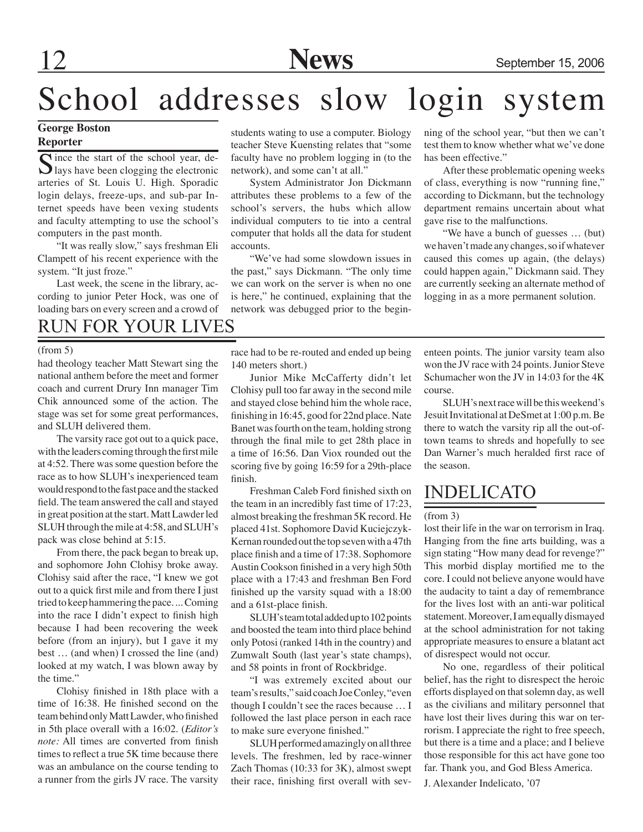# School addresses slow login system

### **George Boston Reporter**

Since the start of the school year, de- $\bigcup$  lays have been clogging the electronic arteries of St. Louis U. High. Sporadic login delays, freeze-ups, and sub-par Internet speeds have been vexing students and faculty attempting to use the school's computers in the past month.

"It was really slow," says freshman Eli Clampett of his recent experience with the system. "It just froze."

Last week, the scene in the library, according to junior Peter Hock, was one of loading bars on every screen and a crowd of students wating to use a computer. Biology teacher Steve Kuensting relates that "some faculty have no problem logging in (to the network), and some can't at all."

System Administrator Jon Dickmann attributes these problems to a few of the school's servers, the hubs which allow individual computers to tie into a central computer that holds all the data for student accounts.

"We've had some slowdown issues in the past," says Dickmann. "The only time we can work on the server is when no one is here," he continued, explaining that the network was debugged prior to the beginning of the school year, "but then we can't test them to know whether what we've done has been effective."

After these problematic opening weeks of class, everything is now "running fine," according to Dickmann, but the technology department remains uncertain about what gave rise to the malfunctions.

"We have a bunch of guesses … (but) we haven't made any changes, so if whatever caused this comes up again, (the delays) could happen again," Dickmann said. They are currently seeking an alternate method of logging in as a more permanent solution.

### RUN FOR YOUR LIVES

had theology teacher Matt Stewart sing the national anthem before the meet and former coach and current Drury Inn manager Tim Chik announced some of the action. The stage was set for some great performances, and SLUH delivered them.

The varsity race got out to a quick pace, with the leaders coming through the first mile at 4:52. There was some question before the race as to how SLUH's inexperienced team would respond to the fast pace and the stacked field. The team answered the call and stayed in great position at the start. Matt Lawder led SLUH through the mile at 4:58, and SLUH's pack was close behind at 5:15.

From there, the pack began to break up, and sophomore John Clohisy broke away. Clohisy said after the race, "I knew we got out to a quick first mile and from there I just tried to keep hammering the pace. ... Coming into the race I didn't expect to finish high because I had been recovering the week before (from an injury), but I gave it my best … (and when) I crossed the line (and) looked at my watch, I was blown away by the time."

Clohisy finished in 18th place with a time of 16:38. He finished second on the team behind only Matt Lawder, who finished in 5th place overall with a 16:02. (*Editor's note:* All times are converted from finish times to reflect a true 5K time because there was an ambulance on the course tending to a runner from the girls JV race. The varsity

(from 5) race had to be re-routed and ended up being 140 meters short.)

> Junior Mike McCafferty didn't let Clohisy pull too far away in the second mile and stayed close behind him the whole race, finishing in 16:45, good for 22nd place. Nate Banet was fourth on the team, holding strong through the final mile to get 28th place in a time of 16:56. Dan Viox rounded out the scoring five by going 16:59 for a 29th-place finish.

> Freshman Caleb Ford finished sixth on the team in an incredibly fast time of 17:23, almost breaking the freshman 5K record. He placed 41st. Sophomore David Kuciejczyk-Kernan rounded out the top seven with a 47th place finish and a time of 17:38. Sophomore Austin Cookson finished in a very high 50th place with a 17:43 and freshman Ben Ford finished up the varsity squad with a 18:00 and a 61st-place finish.

> SLUH's team total added up to 102 points and boosted the team into third place behind only Potosi (ranked 14th in the country) and Zumwalt South (last year's state champs), and 58 points in front of Rockbridge.

> "I was extremely excited about our team's results," said coach Joe Conley, "even though I couldn't see the races because … I followed the last place person in each race to make sure everyone finished."

> SLUH performed amazingly on all three levels. The freshmen, led by race-winner Zach Thomas (10:33 for 3K), almost swept their race, finishing first overall with sev

enteen points. The junior varsity team also won the JV race with 24 points. Junior Steve Schumacher won the JV in 14:03 for the 4K course.

SLUH's next race will be this weekend's Jesuit Invitational at DeSmet at 1:00 p.m. Be there to watch the varsity rip all the out-oftown teams to shreds and hopefully to see Dan Warner's much heralded first race of the season.

### INDELICATO

#### (from 3)

lost their life in the war on terrorism in Iraq. Hanging from the fine arts building, was a sign stating "How many dead for revenge?" This morbid display mortified me to the core. I could not believe anyone would have the audacity to taint a day of remembrance for the lives lost with an anti-war political statement. Moreover, I am equally dismayed at the school administration for not taking appropriate measures to ensure a blatant act of disrespect would not occur.

No one, regardless of their political belief, has the right to disrespect the heroic efforts displayed on that solemn day, as well as the civilians and military personnel that have lost their lives during this war on terrorism. I appreciate the right to free speech, but there is a time and a place; and I believe those responsible for this act have gone too far. Thank you, and God Bless America.

J. Alexander Indelicato, '07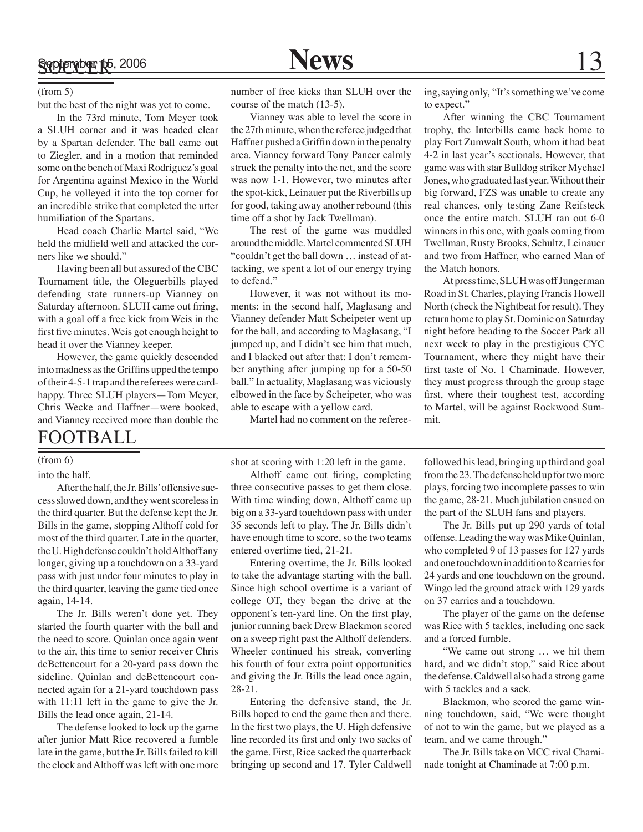#### (from 5)

but the best of the night was yet to come.

In the 73rd minute, Tom Meyer took a SLUH corner and it was headed clear by a Spartan defender. The ball came out to Ziegler, and in a motion that reminded some on the bench of Maxi Rodriguez's goal for Argentina against Mexico in the World Cup, he volleyed it into the top corner for an incredible strike that completed the utter humiliation of the Spartans.

Head coach Charlie Martel said, "We held the midfield well and attacked the corners like we should."

Having been all but assured of the CBC Tournament title, the Oleguerbills played defending state runners-up Vianney on Saturday afternoon. SLUH came out firing, with a goal off a free kick from Weis in the first five minutes. Weis got enough height to head it over the Vianney keeper.

However, the game quickly descended into madness as the Griffins upped the tempo of their 4-5-1 trap and the referees were cardhappy. Three SLUH players—Tom Meyer, Chris Wecke and Haffner—were booked, and Vianney received more than double the

### FOOTBALL

#### (from 6)

#### into the half.

After the half, the Jr. Bills' offensive success slowed down, and they went scoreless in the third quarter. But the defense kept the Jr. Bills in the game, stopping Althoff cold for most of the third quarter. Late in the quarter, the U. High defense couldn't hold Althoff any longer, giving up a touchdown on a 33-yard pass with just under four minutes to play in the third quarter, leaving the game tied once again, 14-14.

The Jr. Bills weren't done yet. They started the fourth quarter with the ball and the need to score. Quinlan once again went to the air, this time to senior receiver Chris deBettencourt for a 20-yard pass down the sideline. Quinlan and deBettencourt connected again for a 21-yard touchdown pass with 11:11 left in the game to give the Jr. Bills the lead once again, 21-14.

The defense looked to lock up the game after junior Matt Rice recovered a fumble late in the game, but the Jr. Bills failed to kill the clock and Althoff was left with one more

number of free kicks than SLUH over the course of the match (13-5).

Vianney was able to level the score in the 27th minute, when the referee judged that Haffner pushed a Griffin down in the penalty area. Vianney forward Tony Pancer calmly struck the penalty into the net, and the score was now 1-1. However, two minutes after the spot-kick, Leinauer put the Riverbills up for good, taking away another rebound (this time off a shot by Jack Twellman).

The rest of the game was muddled around the middle. Martel commented SLUH "couldn't get the ball down … instead of attacking, we spent a lot of our energy trying to defend."

However, it was not without its moments: in the second half, Maglasang and Vianney defender Matt Scheipeter went up for the ball, and according to Maglasang, "I jumped up, and I didn't see him that much, and I blacked out after that: I don't remember anything after jumping up for a 50-50 ball." In actuality, Maglasang was viciously elbowed in the face by Scheipeter, who was able to escape with a yellow card.

Martel had no comment on the referee-

ing, saying only, "It's something we've come to expect."

After winning the CBC Tournament trophy, the Interbills came back home to play Fort Zumwalt South, whom it had beat 4-2 in last year's sectionals. However, that game was with star Bulldog striker Mychael Jones, who graduated last year. Without their big forward, FZS was unable to create any real chances, only testing Zane Reifsteck once the entire match. SLUH ran out 6-0 winners in this one, with goals coming from Twellman, Rusty Brooks, Schultz, Leinauer and two from Haffner, who earned Man of the Match honors.

At press time, SLUH was off Jungerman Road in St. Charles, playing Francis Howell North (check the Nightbeat for result). They return home to play St. Dominic on Saturday night before heading to the Soccer Park all next week to play in the prestigious CYC Tournament, where they might have their first taste of No. 1 Chaminade. However, they must progress through the group stage first, where their toughest test, according to Martel, will be against Rockwood Summit.

shot at scoring with 1:20 left in the game.

Althoff came out firing, completing three consecutive passes to get them close. With time winding down, Althoff came up big on a 33-yard touchdown pass with under 35 seconds left to play. The Jr. Bills didn't have enough time to score, so the two teams entered overtime tied, 21-21.

Entering overtime, the Jr. Bills looked to take the advantage starting with the ball. Since high school overtime is a variant of college OT, they began the drive at the opponent's ten-yard line. On the first play, junior running back Drew Blackmon scored on a sweep right past the Althoff defenders. Wheeler continued his streak, converting his fourth of four extra point opportunities and giving the Jr. Bills the lead once again, 28-21.

Entering the defensive stand, the Jr. Bills hoped to end the game then and there. In the first two plays, the U. High defensive line recorded its first and only two sacks of the game. First, Rice sacked the quarterback bringing up second and 17. Tyler Caldwell

followed his lead, bringing up third and goal from the 23. The defense held up for two more plays, forcing two incomplete passes to win the game, 28-21. Much jubilation ensued on the part of the SLUH fans and players.

The Jr. Bills put up 290 yards of total offense. Leading the way was Mike Quinlan, who completed 9 of 13 passes for 127 yards and one touchdown in addition to 8 carries for 24 yards and one touchdown on the ground. Wingo led the ground attack with 129 yards on 37 carries and a touchdown.

The player of the game on the defense was Rice with 5 tackles, including one sack and a forced fumble.

"We came out strong … we hit them hard, and we didn't stop," said Rice about the defense. Caldwell also had a strong game with 5 tackles and a sack.

Blackmon, who scored the game winning touchdown, said, "We were thought of not to win the game, but we played as a team, and we came through."

The Jr. Bills take on MCC rival Chaminade tonight at Chaminade at 7:00 p.m.